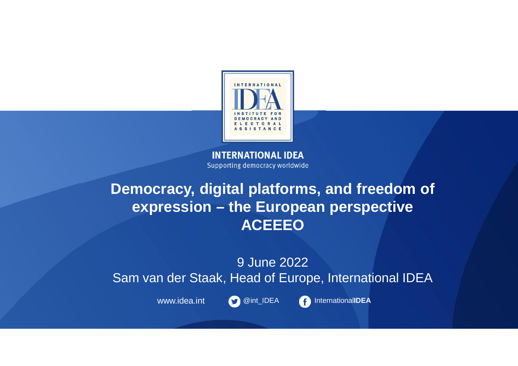

**INTERNATIONAL IDEA** Supporting democracy worldwide

### **Democracy, digital platforms, and freedom of expression – the European perspective ACEEEO**

9 June 2022 Sam van der Staak, Head of Europe, International IDEA



www.idea.int **@int\_IDEA** 1nternationalIDEA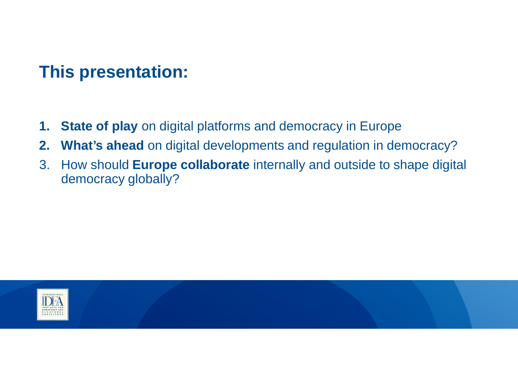## **This presentation:**

- **1. State of play** on digital platforms and democracy in Europe
- **2. What's ahead** on digital developments and regulation in democracy?
- 3. How should **Europe collaborate** internally and outside to shape digital democracy globally?

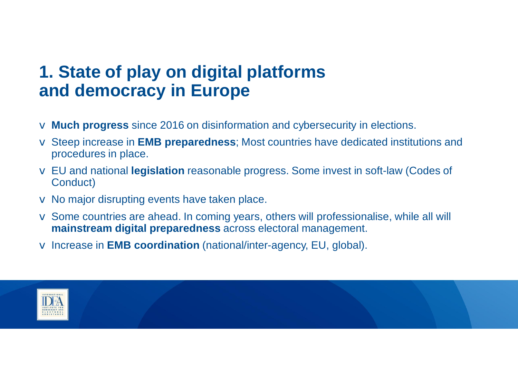## **1. State of play on digital platforms and democracy in Europe**

- v **Much progress** since 2016 on disinformation and cybersecurity in elections.
- v Steep increase in **EMB preparedness**; Most countries have dedicated institutions and procedures in place.
- v EU and national **legislation** reasonable progress. Some invest in soft-law (Codes of Conduct)
- $\vee$  No major disrupting events have taken place.
- v Some countries are ahead. In coming years, others will professionalise, while all will **mainstream digital preparedness** across electoral management.
- v Increase in **EMB coordination** (national/inter-agency, EU, global).

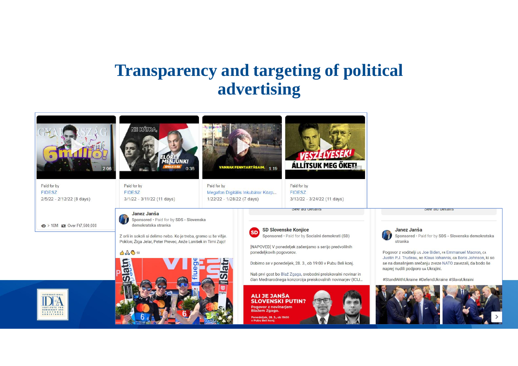## **Transparency and targeting of political advertising**

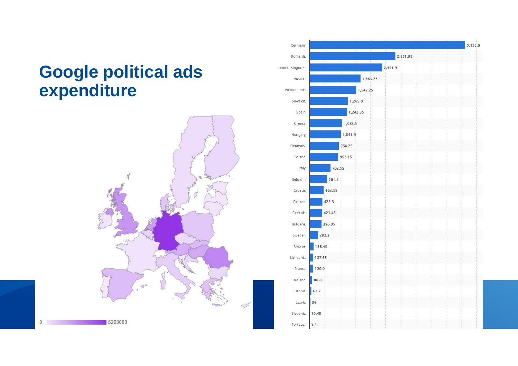## **Google political ads expenditure**



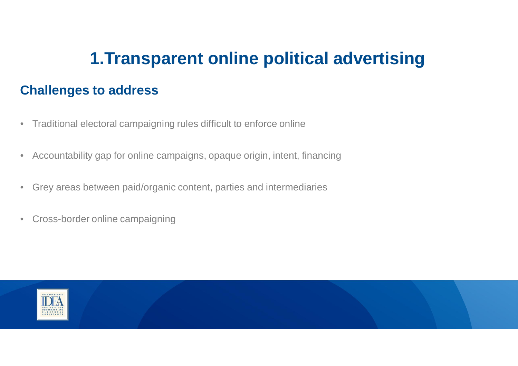## **1.Transparent online political advertising**

#### **Challenges to address**

- Traditional electoral campaigning rules difficult to enforce online
- Accountability gap for online campaigns, opaque origin, intent, financing
- Grey areas between paid/organic content, parties and intermediaries
- Cross-border online campaigning

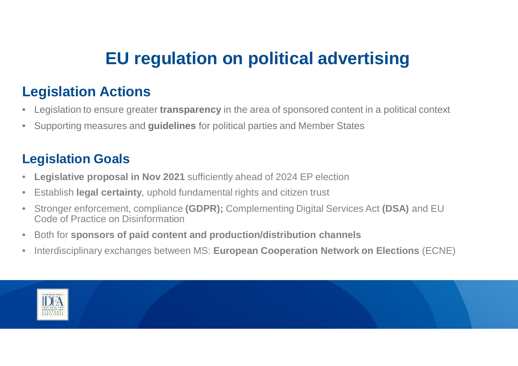# **EU regulation on political advertising**

## **Legislation Actions**

- Legislation to ensure greater **transparency** in the area of sponsored content in a political context
- Supporting measures and **guidelines** for political parties and Member States

#### **Legislation Goals**

- **Legislative proposal in Nov 2021** sufficiently ahead of 2024 EP election
- Establish **legal certainty**, uphold fundamental rights and citizen trust
- Stronger enforcement, compliance **(GDPR);** Complementing Digital Services Act **(DSA)** and EU Code of Practice on Disinformation
- Both for **sponsors of paid content and production/distribution channels**
- Interdisciplinary exchanges between MS: **European Cooperation Network on Elections** (ECNE)

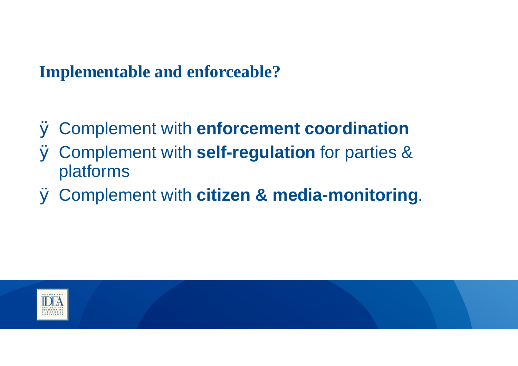## **Implementable and enforceable?**

- Ø Complement with **enforcement coordination**
- Ø Complement with **self-regulation** for parties & platforms
- Ø Complement with **citizen & media-monitoring**.

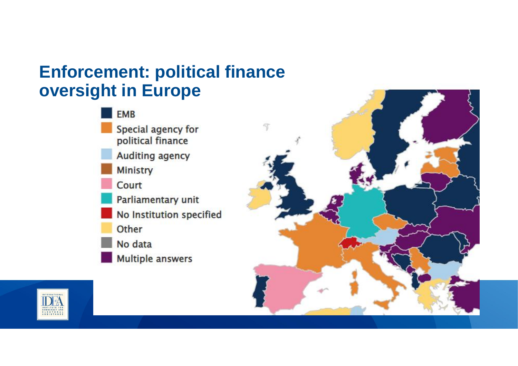## **Enforcement: political finance oversight in Europe**





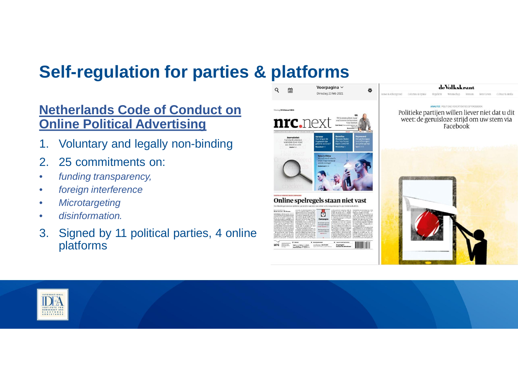## **Self-regulation for parties & platforms**

#### **Netherlands Code of Conduct on Online Political Advertising**

- 1. Voluntary and legally non-binding
- 2. 25 commitments on:
- *funding transparency,*
- *foreign interference*
- *Microtargeting*
- *disinformation.*
- 3. Signed by 11 political parties, 4 online platforms



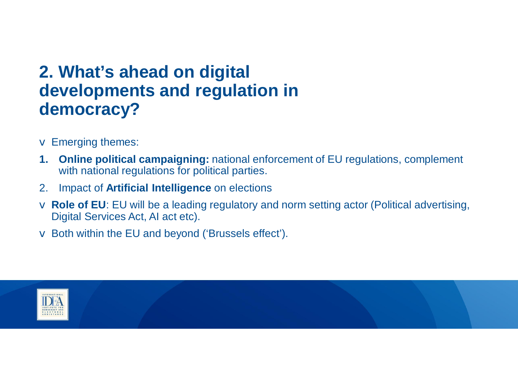## **2. What's ahead on digital developments and regulation in democracy?**

- $\vee$  Emerging themes:
- **1. Online political campaigning:** national enforcement of EU regulations, complement with national regulations for political parties.
- 2. Impact of **Artificial Intelligence** on elections
- v **Role of EU**: EU will be a leading regulatory and norm setting actor (Political advertising, Digital Services Act, AI act etc).
- $\vee$  Both within the EU and beyond ('Brussels effect').

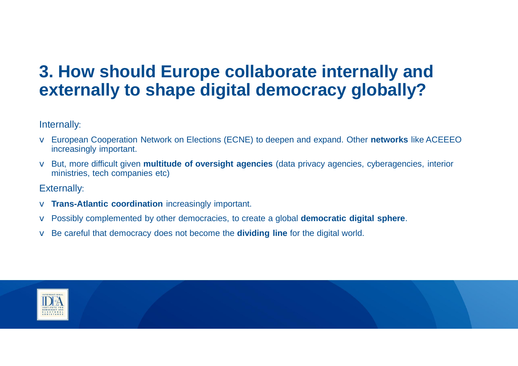## **3. How should Europe collaborate internally and externally to shape digital democracy globally?**

Internally:

- v European Cooperation Network on Elections (ECNE) to deepen and expand. Other **networks** like ACEEEO increasingly important.
- v But, more difficult given **multitude of oversight agencies** (data privacy agencies, cyberagencies, interior ministries, tech companies etc)

Externally:

- v **Trans-Atlantic coordination** increasingly important.
- v Possibly complemented by other democracies, to create a global **democratic digital sphere**.
- v Be careful that democracy does not become the **dividing line** for the digital world.

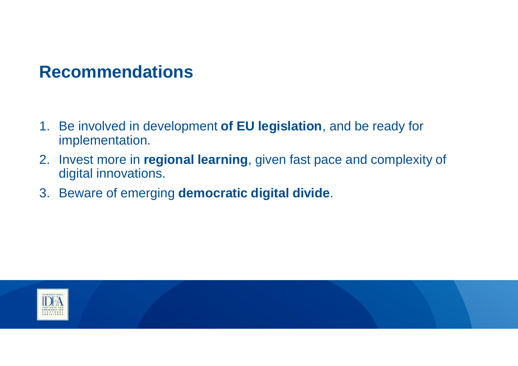## **Recommendations**

- 1. Be involved in development **of EU legislation**, and be ready for implementation.
- 2. Invest more in **regional learning**, given fast pace and complexity of digital innovations.
- 3. Beware of emerging **democratic digital divide**.